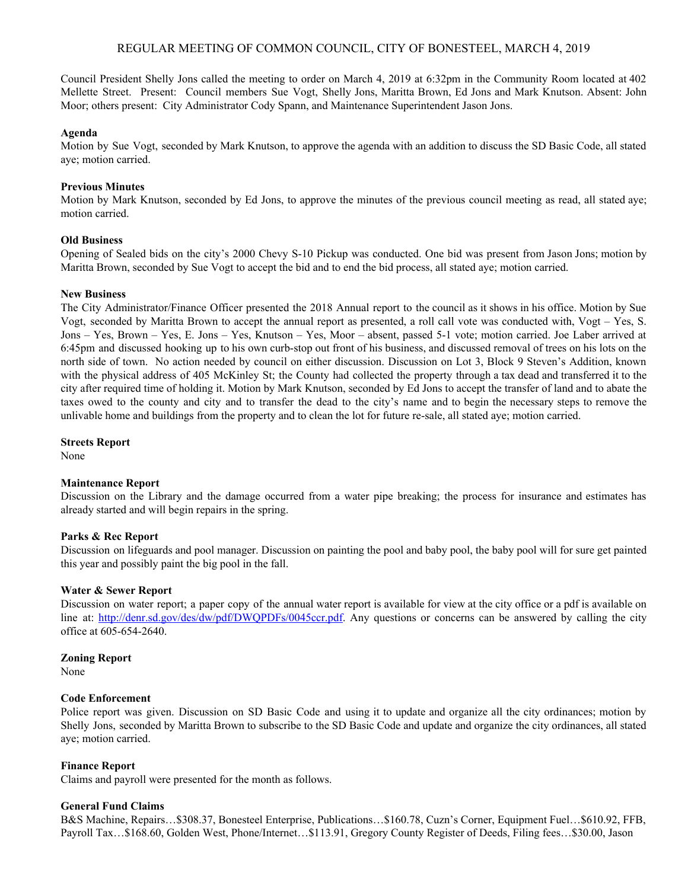## REGULAR MEETING OF COMMON COUNCIL, CITY OF BONESTEEL, MARCH 4, 2019

Council President Shelly Jons called the meeting to order on March 4, 2019 at 6:32pm in the Community Room located at 402 Mellette Street. Present: Council members Sue Vogt, Shelly Jons, Maritta Brown, Ed Jons and Mark Knutson. Absent: John Moor; others present: City Administrator Cody Spann, and Maintenance Superintendent Jason Jons.

### **Agenda**

Motion by Sue Vogt, seconded by Mark Knutson, to approve the agenda with an addition to discuss the SD Basic Code, all stated aye; motion carried.

### **Previous Minutes**

Motion by Mark Knutson, seconded by Ed Jons, to approve the minutes of the previous council meeting as read, all stated aye; motion carried.

## **Old Business**

Opening of Sealed bids on the city's 2000 Chevy S-10 Pickup was conducted. One bid was present from Jason Jons; motion by Maritta Brown, seconded by Sue Vogt to accept the bid and to end the bid process, all stated aye; motion carried.

#### **New Business**

The City Administrator/Finance Officer presented the 2018 Annual report to the council as it shows in his office. Motion by Sue Vogt, seconded by Maritta Brown to accept the annual report as presented, a roll call vote was conducted with, Vogt – Yes, S. Jons – Yes, Brown – Yes, E. Jons – Yes, Knutson – Yes, Moor – absent, passed 5-1 vote; motion carried. Joe Laber arrived at 6:45pm and discussed hooking up to his own curb-stop out front of his business, and discussed removal of trees on his lots on the north side of town. No action needed by council on either discussion. Discussion on Lot 3, Block 9 Steven's Addition, known with the physical address of 405 McKinley St; the County had collected the property through a tax dead and transferred it to the city after required time of holding it. Motion by Mark Knutson, seconded by Ed Jons to accept the transfer of land and to abate the taxes owed to the county and city and to transfer the dead to the city's name and to begin the necessary steps to remove the unlivable home and buildings from the property and to clean the lot for future re-sale, all stated aye; motion carried.

**Streets Report**

None

#### **Maintenance Report**

Discussion on the Library and the damage occurred from a water pipe breaking; the process for insurance and estimates has already started and will begin repairs in the spring.

## **Parks & Rec Report**

Discussion on lifeguards and pool manager. Discussion on painting the pool and baby pool, the baby pool will for sure get painted this year and possibly paint the big pool in the fall.

#### **Water & Sewer Report**

Discussion on water report; a paper copy of the annual water report is available for view at the city office or a pdf is available on line at: <http://denr.sd.gov/des/dw/pdf/DWQPDFs/0045ccr.pdf>. Any questions or concerns can be answered by calling the city office at 605-654-2640.

### **Zoning Report**

None

### **Code Enforcement**

Police report was given. Discussion on SD Basic Code and using it to update and organize all the city ordinances; motion by Shelly Jons, seconded by Maritta Brown to subscribe to the SD Basic Code and update and organize the city ordinances, all stated aye; motion carried.

#### **Finance Report**

Claims and payroll were presented for the month as follows.

### **General Fund Claims**

B&S Machine, Repairs…\$308.37, Bonesteel Enterprise, Publications…\$160.78, Cuzn's Corner, Equipment Fuel…\$610.92, FFB, Payroll Tax…\$168.60, Golden West, Phone/Internet…\$113.91, Gregory County Register of Deeds, Filing fees…\$30.00, Jason